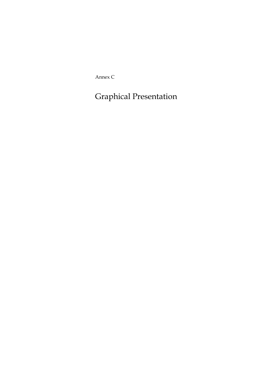Annex C

Graphical Presentation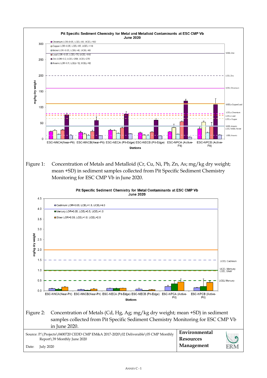



## Figure 2: Concentration of Metals (Cd, Hg, Ag; mg/kg dry weight; mean +SD) in sediment samples collected from Pit Specific Sediment Chemistry Monitoring for ESC CMP Vb in June 2020.

| Source: P:\Projects\0400720 CEDD CMP EM&A 2017-2020\02 Deliverable\05 CMP Monthly |                             | Environmental    |     |
|-----------------------------------------------------------------------------------|-----------------------------|------------------|-----|
|                                                                                   | Report\39 Monthly June 2020 | <b>Resources</b> |     |
| Date:                                                                             | July 2020                   | Management       | ERM |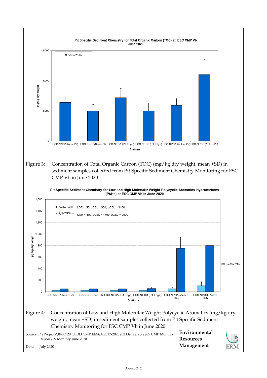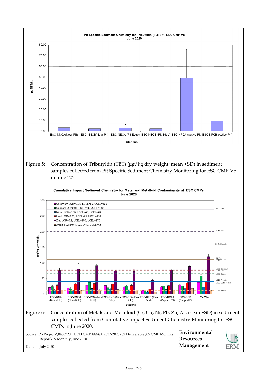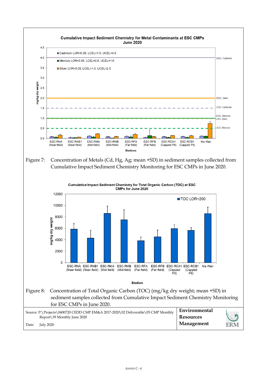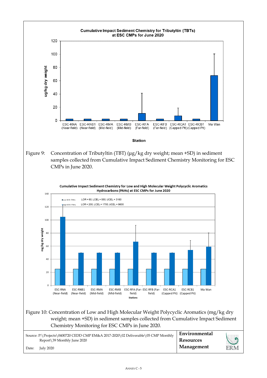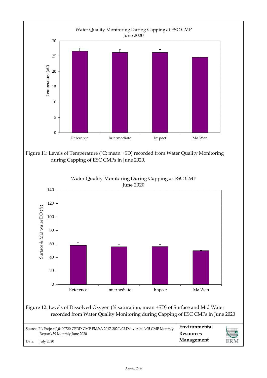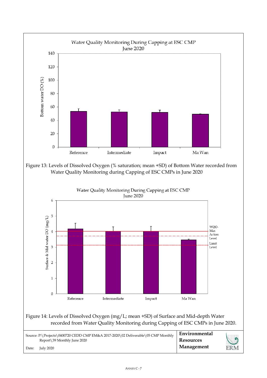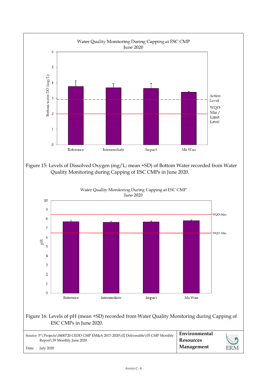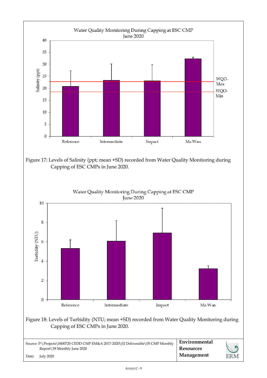